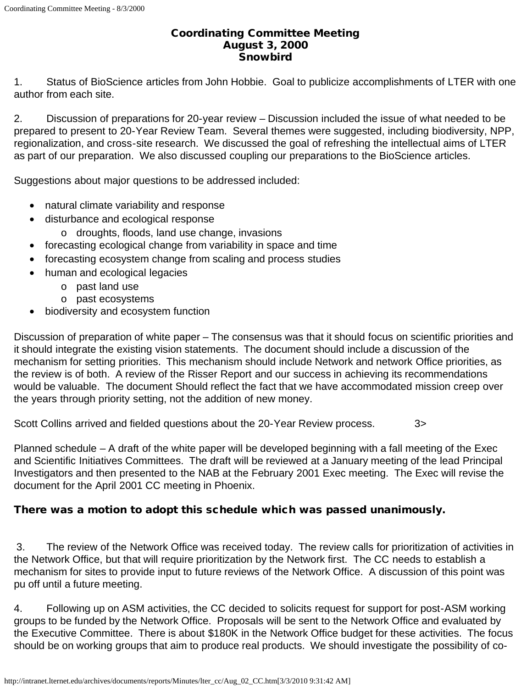## Coordinating Committee Meeting August 3, 2000 **Snowbird**

1. Status of BioScience articles from John Hobbie. Goal to publicize accomplishments of LTER with one author from each site.

2. Discussion of preparations for 20-year review – Discussion included the issue of what needed to be prepared to present to 20-Year Review Team. Several themes were suggested, including biodiversity, NPP, regionalization, and cross-site research. We discussed the goal of refreshing the intellectual aims of LTER as part of our preparation. We also discussed coupling our preparations to the BioScience articles.

Suggestions about major questions to be addressed included:

- natural climate variability and response
- disturbance and ecological response
	- o droughts, floods, land use change, invasions
- forecasting ecological change from variability in space and time
- forecasting ecosystem change from scaling and process studies
- human and ecological legacies
	- o past land use
	- o past ecosystems
- biodiversity and ecosystem function

Discussion of preparation of white paper – The consensus was that it should focus on scientific priorities and it should integrate the existing vision statements. The document should include a discussion of the mechanism for setting priorities. This mechanism should include Network and network Office priorities, as the review is of both. A review of the Risser Report and our success in achieving its recommendations would be valuable. The document Should reflect the fact that we have accommodated mission creep over the years through priority setting, not the addition of new money.

Scott Collins arrived and fielded questions about the 20-Year Review process. 3>

Planned schedule – A draft of the white paper will be developed beginning with a fall meeting of the Exec and Scientific Initiatives Committees. The draft will be reviewed at a January meeting of the lead Principal Investigators and then presented to the NAB at the February 2001 Exec meeting. The Exec will revise the document for the April 2001 CC meeting in Phoenix.

## There was a motion to adopt this schedule which was passed unanimously.

3. The review of the Network Office was received today. The review calls for prioritization of activities in the Network Office, but that will require prioritization by the Network first. The CC needs to establish a mechanism for sites to provide input to future reviews of the Network Office. A discussion of this point was pu off until a future meeting.

4. Following up on ASM activities, the CC decided to solicits request for support for post-ASM working groups to be funded by the Network Office. Proposals will be sent to the Network Office and evaluated by the Executive Committee. There is about \$180K in the Network Office budget for these activities. The focus should be on working groups that aim to produce real products. We should investigate the possibility of co